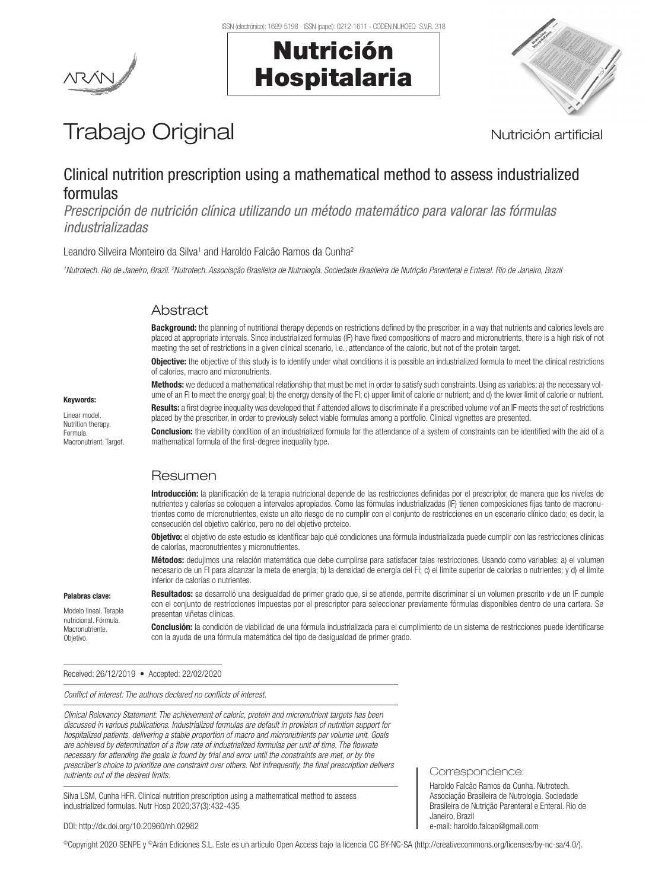Nutrición

Hospitalaria



# Trabajo Original **Nutrición artificial**

### Clinical nutrition prescription using a mathematical method to assess industrialized formulas

*Prescripción de nutrición clínica utilizando un método matemático para valorar las fórmulas industrializadas*

Leandro Silveira Monteiro da Silva<sup>1</sup> and Haroldo Falcão Ramos da Cunha<sup>2</sup>

<sup>1</sup> Nutrotech. Rio de Janeiro, Brazil. <sup>2</sup>Nutrotech. Associação Brasileira de Nutrologia. Sociedade Brasileira de Nutrição Parenteral e Enteral. Rio de Janeiro, Brazi

#### Abstract

Background: the planning of nutritional therapy depends on restrictions defined by the prescriber, in a way that nutrients and calories levels are placed at appropriate intervals. Since industrialized formulas (IF) have fixed compositions of macro and micronutrients, there is a high risk of not meeting the set of restrictions in a given clinical scenario, i.e., attendance of the caloric, but not of the protein target.

**Objective:** the objective of this study is to identify under what conditions it is possible an industrialized formula to meet the clinical restrictions of calories, macro and micronutrients. Methods: we deduced a mathematical relationship that must be met in order to satisfy such constraints. Using as variables: a) the necessary vol-

Keywords:

Linear model. Nutrition therapy. Formula. Macronutrient. Target. ume of an FI to meet the energy goal; b) the energy density of the FI; c) upper limit of calorie or nutrient; and d) the lower limit of calorie or nutrient. Results: a first degree inequality was developed that if attended allows to discriminate if a prescribed volume *v* of an IF meets the set of restrictions placed by the prescriber, in order to previously select viable formulas among a portfolio. Clinical vignettes are presented.

Conclusion: the viability condition of an industrialized formula for the attendance of a system of constraints can be identified with the aid of a mathematical formula of the first-degree inequality type.

### Resumen

Introducción: la planificación de la terapia nutricional depende de las restricciones definidas por el prescriptor, de manera que los niveles de nutrientes y calorías se coloquen a intervalos apropiados. Como las fórmulas industrializadas (IF) tienen composiciones fijas tanto de macronutrientes como de micronutrientes, existe un alto riesgo de no cumplir con el conjunto de restricciones en un escenario clínico dado; es decir, la consecución del objetivo calórico, pero no del objetivo proteico.

Objetivo: el objetivo de este estudio es identificar bajo qué condiciones una fórmula industrializada puede cumplir con las restricciones clínicas de calorías, macronutrientes y micronutrientes.

Métodos: dedujimos una relación matemática que debe cumplirse para satisfacer tales restricciones. Usando como variables: a) el volumen necesario de un FI para alcanzar la meta de energía; b) la densidad de energía del FI; c) el límite superior de calorías o nutrientes; y d) el límite inferior de calorías o nutrientes.

#### Palabras clave:

Modelo lineal. Terapia nutricional. Fórmula. **Macronutriente Objetivo** 

Resultados: se desarrolló una desigualdad de primer grado que, si se atiende, permite discriminar si un volumen prescrito *v* de un IF cumple con el conjunto de restricciones impuestas por el prescriptor para seleccionar previamente fórmulas disponibles dentro de una cartera. Se presentan viñetas clínicas.

Conclusión: la condición de viabilidad de una fórmula industrializada para el cumplimiento de un sistema de restricciones puede identificarse con la ayuda de una fórmula matemática del tipo de desigualdad de primer grado.

Received: 26/12/2019 • Accepted: 22/02/2020

*Conflict of interest: The authors declared no conflicts of interest.*

*Clinical Relevancy Statement: The achievement of caloric, protein and micronutrient targets has been discussed in various publications. Industrialized formulas are default in provision of nutrition support for hospitalized patients, delivering a stable proportion of macro and micronutrients per volume unit. Goals are achieved by determination of a flow rate of industrialized formulas per unit of time. The flowrate necessary for attending the goals is found by trial and error until the constraints are met, or by the prescriber's choice to prioritize one constraint over others. Not infrequently, the final prescription delivers nutrients out of the desired limits.*

Silva LSM, Cunha HFR. Clinical nutrition prescription using a mathematical method to assess industrialized formulas. Nutr Hosp 2020;37(3):432-435

Correspondence:

Haroldo Falcão Ramos da Cunha. Nutrotech. Associação Brasileira de Nutrologia. Sociedade Brasileira de Nutrição Parenteral e Enteral. Rio de Janeiro, Brazil e-mail: haroldo.falcao@gmail.com

DOI: http://dx.doi.org/10.20960/nh.02982

©Copyright 2020 SENPE y ©Arán Ediciones S.L. Este es un artículo Open Access bajo la licencia CC BY-NC-SA (http://creativecommons.org/licenses/by-nc-sa/4.0/).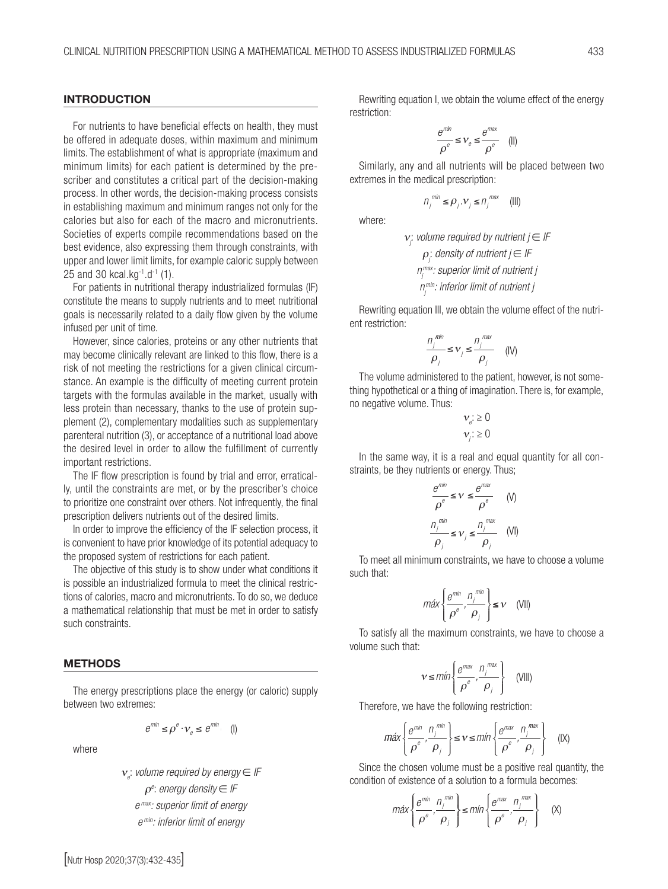#### INTRODUCTION

For nutrients to have beneficial effects on health, they must be offered in adequate doses, within maximum and minimum limits. The establishment of what is appropriate (maximum and minimum limits) for each patient is determined by the prescriber and constitutes a critical part of the decision-making process. In other words, the decision-making process consists in establishing maximum and minimum ranges not only for the calories but also for each of the macro and micronutrients. Societies of experts compile recommendations based on the best evidence, also expressing them through constraints, with upper and lower limit limits, for example caloric supply between 25 and 30 kcal.kg-1.d-1 (1).

For patients in nutritional therapy industrialized formulas (IF) constitute the means to supply nutrients and to meet nutritional goals is necessarily related to a daily flow given by the volume infused per unit of time.

However, since calories, proteins or any other nutrients that may become clinically relevant are linked to this flow, there is a risk of not meeting the restrictions for a given clinical circumstance. An example is the difficulty of meeting current protein targets with the formulas available in the market, usually with less protein than necessary, thanks to the use of protein supplement (2), complementary modalities such as supplementary parenteral nutrition (3), or acceptance of a nutritional load above the desired level in order to allow the fulfillment of currently important restrictions.

The IF flow prescription is found by trial and error, erratically, until the constraints are met, or by the prescriber's choice to prioritize one constraint over others. Not infrequently, the final prescription delivers nutrients out of the desired limits.

In order to improve the efficiency of the IF selection process, it is convenient to have prior knowledge of its potential adequacy to the proposed system of restrictions for each patient.

The objective of this study is to show under what conditions it is possible an industrialized formula to meet the clinical restrictions of calories, macro and micronutrients. To do so, we deduce a mathematical relationship that must be met in order to satisfy such constraints.

#### METHODS

The energy prescriptions place the energy (or caloric) supply between two extremes: *Methodos*

$$
e^{m i n} \leq \rho^e \cdot v_e \leq e^{m i n} \quad (1)
$$

where

**volumere**<br>
and **conventional by energy⊂** <sup>ν</sup> *byener gy lF energydensity lF* <sup>ρ</sup> *:* ∈ *e max: superior limit of energy e* ρ*e* : *energy density* ∈ *IF* ν*e* : *volume required by energy* ∈ *IF e min: inferior limit of energy*

*: sup max r itofenergy*

Rewriting equation I, we obtain the volume effect of the energy restriction: *e e l min min e e l*

$$
\frac{e^{m\hbar n}}{\rho^e}\leq V_e\leq \frac{e^{m\alpha x}}{\rho^e}\quad (||)
$$

 $\rho^{\circ}$   $\rho^{\circ}$ <br>
Similarly, any and all nutrients will be placed between two<br>
tremes in the medical prescription:<br>  $n_j^{min} \le \rho_j \cdot v_j \le n_j^{max}$  (III)<br>
where:<br>  $v_i$  volume required by nutrient  $j \in \mathbb{F}$ extremes in the medical prescription: *j j j j e e r*<br>selver and all mutriants will be α

$$
n_j^{min} \le \rho_j \cdot \nu_j \le n_j^{max} \quad (III)
$$

where: *e erio*

$$
\mathbf{v}_j
$$
 volume required by nutrient  $j \in \mathbb{F}$   
\n $\rho_j$  density of nutrient  $j \in \mathbb{F}$   
\n $n_j^{\text{max}}$  superior limit of nutrient  $j$   
\n $n_j^{\text{min}}$  inferior limit of nutrient  $j$ 

Rewriting equation III, we obtain the volume effect of the nutrient restriction: on III, we obtain the <mark>v</mark> *n* III we obtain the volu *m<sub>j</sub>*  $\cdot$  *michol mint*  $\circ$ ng equation III, we obtain the vo

$$
\frac{n_j^{min}}{\rho_j} \le \nu_j \le \frac{n_j^{max}}{\rho_j} \quad (IV)
$$

The volume administered to the patient, however, is not some*j i i i i j i i i i i j j i i i i i i i j j j j j j i i i j j j j i i i j j i i i j j i i i j j i i i j j i i i j j* no negative volume. Thus: *j* ρ *j*  $\sim$   $\sim$ *i*cal or a thing of imaginatic<br><sup>b</sup>lume. Thus:  $\frac{1}{2}$  volume. Thus: *j j j j j*

$$
\begin{aligned} \mathbf{v}_e &\ge 0\\ \mathbf{v}_j &\ge 0 \end{aligned}
$$

**y**, it is a real دا<br>،+  $\frac{1}{2}$ יי<br>יי In the same way, it is a real and equal quantity for all constraints, be they nutrients or energy. Thus;<br> *e*<sup>*min*</sup> *e*<sup>*max*</sup> same way, it is a real

$$
\frac{e^{m i n}}{\rho^e} \le \nu \le \frac{e^{m a x}}{\rho^e} \qquad (V)
$$
\n
$$
\frac{n_j^{m i n}}{\rho_j} \le \nu_j \le \frac{n_j^{m a x}}{\rho_j} \qquad (V)
$$

num constraints, we have to choose a volum ⎩⎪  $\overline{ }$ <sup> $'$ </sup> *,* ≤ ( ) ν *Vll* To meet all minimum constraints, we have to choose a volume *<sup>j</sup> n min max* ν *<sup>n</sup>* ≤ ≤ ( ) *vi* such that: *j*

$$
m\acute{a}x\left\{\frac{e^{m\acute{a}}}{\rho^e},\frac{n_j^{m\acute{a}}}{\rho_j}\right\}\leq v\quad\text{(VII)}
$$

*e a different we have to choose*  $\sim$ ⎩⎪ maximum constraints, we *v*imum constraints w *j e m*<sup>γ</sup> *f*<br>To satisfy all the maximum constraints, we have to choose a<br>lume such that: *j* volume such that:  $\max\left\{\frac{e^{m\ln}}{\rho^e}, \frac{n_j^{m\ln}}{\rho_j}\right\} \le \nu$ <br>
fy all the maximum constrain<br>
that:<br>  $\nu \le m/n \left\{\frac{e^{m\alpha x}}{e^{m\alpha x}}, \frac{n_j^{m\alpha x}}{e^{m\alpha x}}\right\}$ 

$$
v \leq m/n \left\{ \frac{e^{max}}{\rho^e}, \frac{n_j^{max}}{\rho_j} \right\} \quad \text{(VIII)}
$$

*e*<br> **e** the following restriction: *j* ιe following restr ⎩⎪ ⎭⎪ ∟<br>the following restrict ⎬ ⎪ Therefore, we have the following restriction: ρ ρ

$$
\text{max}\left\{\frac{e^{m\text{in}}}{\rho^e}, \frac{n_j^{\text{min}}}{\rho_j}\right\} \le \nu \le \text{min}\left\{\frac{e^{m\text{in}}}{\rho^e}, \frac{n_j^{\text{max}}}{\rho_j}\right\} \quad (\text{[X})
$$

*i* volume mu *e* of a solution to a formula becomes *j j* ume must be ⎬ ⎪ ≤ itive real quar ne must be a positive real quantity, *j* a solution to a formula bec ⎩⎪ j. ⎭⎪ a formula becomes: *lX* real quantity, t condition of existence of a solution to a formula becomes:  $\left[ \begin{array}{cc} \rho & P_j \end{array} \right]$   $\left[ \begin{array}{cc} \rho & P_k \end{array} \right]$ <br>Since the chosen volume must be a positive real quantity, the

$$
\text{max}\left\{\frac{e^{\text{min}}}{\rho^e}, \frac{n_j^{\text{min}}}{\rho_j}\right\} \le \text{min}\left\{\frac{e^{\text{max}}}{\rho^e}, \frac{n_j^{\text{max}}}{\rho_j}\right\} \quad (\text{X})
$$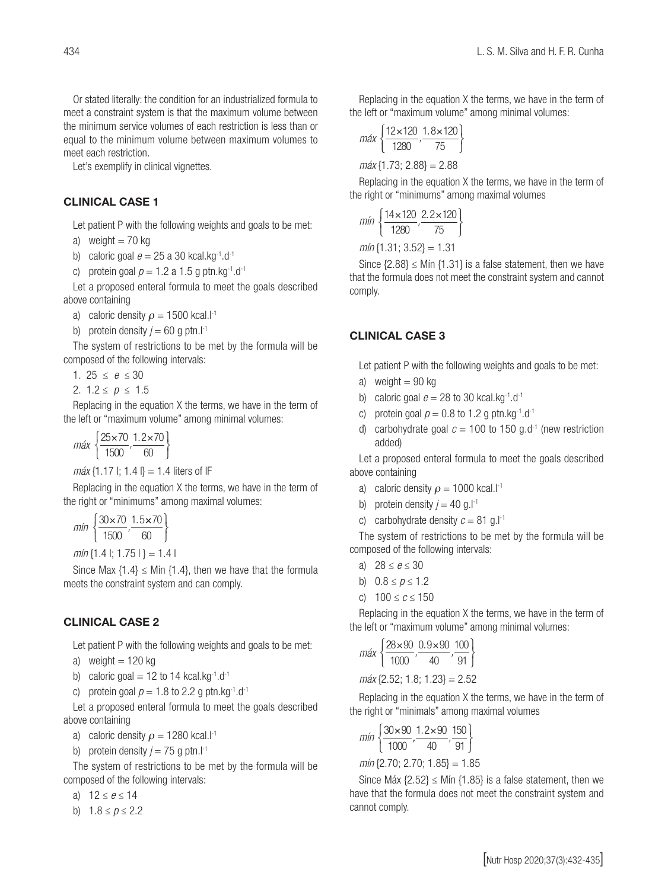Or stated literally: the condition for an industrialized formula to meet a constraint system is that the maximum volume between the minimum service volumes of each restriction is less than or equal to the minimum volume between maximum volumes to meet each restriction.

Let's exemplify in clinical vignettes.

#### CLINICAL CASE 1

Let patient P with the following weights and goals to be met:

a) weight  $= 70$  kg

b) caloric goal  $e = 25$  a 30 kcal.kg<sup>-1</sup>.d<sup>-1</sup>

c) protein goal  $p = 1.2$  a 1.5 g ptn.kg<sup>-1</sup>.d<sup>-1</sup>

Let a proposed enteral formula to meet the goals described above containing

a) caloric density  $\rho = 1500$  kcal.l<sup>-1</sup>

b) protein density  $j = 60$  g ptn.l<sup>-1</sup>

The system of restrictions to be met by the formula will be composed of the following intervals:

1. 25  $\leq e \leq 30$ 

2. 1.2 ≤ *p* ≤ 1.5

Replacing in the equation X the terms, we have in the term of the left or "maximum volume" among minimal volumes:

*máx*  $\frac{25 \times 70}{1500}$ ,  $\frac{1}{2}$ 1500  $1.2 \times 70$  $\frac{25 \times 70}{1500}, \frac{1.2 \times}{60}$ ⎩  $\bigg\}$ ⎭

 $m\acute{a}x$  {1.17 |; 1.4 |} = 1.4 liters of IF

Replacing in the equation X the terms, we have in the term of the right or "minimums" among maximal volumes:  $\frac{1}{2}$ ums" ai

*mín*  $\frac{30 \times 70}{1500}$ ,  $\frac{1}{1}$ 1500  $\frac{30 \times 70}{1500}$ ,  $\frac{1.5 \times}{80}$  $\overline{a}$ ⎫ ⎬ ⎭ 70 60

 $min\{1.4 \mid 1.75\}\} = 1.4$ 

Since Max  $\{1.4\} \leq$  Min  $\{1.4\}$ , then we have that the formula meets the constraint system and can comply.

## **CLINICAL CASE 2**

Let patient P with the following weights and goals to be met:  $\ddot{\phantom{a}}$ 

a) weight = 120 kg

- b) caloric goal = 12 to 14 kcal.kg<sup>-1</sup>.d<sup>-1</sup>
- c) protein goal  $p = 1.8$  to 2.2 g ptn.kg<sup>-1</sup>.d<sup>-1</sup>

Let a proposed enteral formula to meet the goals described above containing<br>
<sup>2</sup><br>
<sup>2</sup><br>
<sup>2</sup>

a) caloric density  $\rho = 1280$  kcal.l<sup>-1</sup>  $\overline{a}$ ric density  $\rho$  = 12  $\,$ 

b) protein density  $j = 75$  g ptn.l<sup>-1</sup>

The system of restrictions to be met by the formula will be composed of the following intervals:

a) 12 ≤ *e* ≤ 14 *clase*3

b)  $1.8 \le p \le 2.2$ 

Replacing in the equation X the terms, we have in the term of the left or "maximum volume" among minimal volumes:

$$
\max\left\{\frac{12 \times 120}{1280}, \frac{1.8 \times 120}{75}\right\}
$$

$$
\max\left\{1.73; 2.88\right\} = 2.88
$$

Replacing in the equation X the terms, we have in the term of the right or "minimums" among maximal volumes <sup>⎧</sup> × × <sup>⎨</sup> ⎫ *min , .* 14 120 2 2 120

$$
min\left\{\frac{14 \times 120}{1280}, \frac{2.2 \times 120}{75}\right\}
$$

*mín* {1.31; 3.52} = 1.31

Since  $\{2.88\} \leq M$ in  $\{1.31\}$  is a false statement, then we have that the formula does not meet the constraint system and cannot comply. *mply.*  $\overline{\phantom{a}}$ 

#### $CLINICAL CASE 3$ nL) ICAL CASE ⎩ 70  $\overline{a}$ *min , .*  $\overline{\phantom{a}}$ 1 5  $\overline{\phantom{a}}$ 70

Let patient P with the following weights and goals to be met:

- a) weight  $= 90$  kg<br>b)  $\epsilon_0$  and  $\epsilon_1$  and  $\epsilon_2$
- b) caloric goal  $e = 28$  to 30 kcal.kg<sup>-1</sup>.d<sup>-1</sup>  $\frac{1}{2}$ aloric goal  $e = 28$  to 30<br>  $\therefore$  **protein goal p**  $\therefore$  0.8 to 1.
- c) protein goal  $p = 0.8$  to 1.2 g ptn.kg<sup>-1</sup>.d<sup>-1</sup> j. c) protein goal  $p = 0.8$  to 1
- d) carbohydrate goal  $c = 100$  to 150 g.d<sup>-1</sup> (new restriction added)

Let a proposed enteral formula to meet the goals described<br>ove containing above containing 1 8 120

- a) caloric density  $\rho = 1000$  kcal.<sup>[-1</sup>] we containing<br>a) caloric density  $\rho = 100$
- b) protein density  $j = 40$  g.l<sup>-1</sup>
- c) carbohydrate density  $c = 81$  g.l<sup>-1</sup>

*C*, carbonyarate density  $c = 0.1$  g.i.<br>The system of restrictions to be met by the formula will be The system of restrictions to be

- a)  $28 \le e \le 30$
- b)  $0.8 \le p \le 1.2$
- c)  $100 \le c \le 150$

Replacing in the equation X the terms, we have in the term of the left or "maximum volume" among minimal volumes:

$$
\max \left\{ \frac{28 \times 90}{1000}, \frac{0.9 \times 90}{40}, \frac{100}{91} \right\}
$$

*máx* {2.52; 1.8; 1.23} = 2.52 *max* 1000 40 91 <sup>⎧</sup> × × <sup>⎨</sup> ⎩  $\frac{2}{2}$ 

Replacing in the equation X the terms, we have in the term of the right or "minimals" among maximal volumes

$$
\text{min}\left\{\frac{30 \times 90}{1000},\frac{1.2 \times 90}{40},\frac{150}{91}\right\}
$$

*mín* {2.70; 2.70; 1.85} = 1.85

Since Máx  $\{2.52\} \leq Mín \{1.85\}$  is a false statement, then we have that the formula does not meet the constraint system and cannot comply.